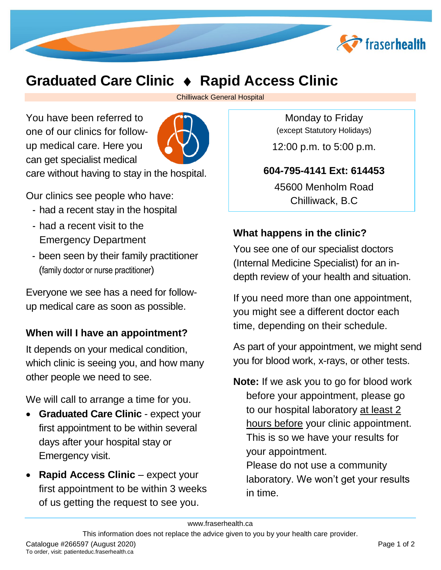

# **Graduated Care Clinic Rapid Access Clinic**

Chilliwack General Hospital

You have been referred to one of our clinics for followup medical care. Here you can get specialist medical care without having to stay in the hospital.

Our clinics see people who have:

- had a recent stay in the hospital
- had a recent visit to the Emergency Department
- been seen by their family practitioner (family doctor or nurse practitioner)

Everyone we see has a need for followup medical care as soon as possible.

#### **When will I have an appointment?**

It depends on your medical condition, which clinic is seeing you, and how many other people we need to see.

We will call to arrange a time for you.

- **Graduated Care Clinic expect your** first appointment to be within several days after your hospital stay or Emergency visit.
- **Rapid Access Clinic** expect your first appointment to be within 3 weeks of us getting the request to see you.

Monday to Friday (except Statutory Holidays)

12:00 p.m. to 5:00 p.m.

#### **604-795-4141 Ext: 614453**

45600 Menholm Road Chilliwack, B.C

## **What happens in the clinic?**

You see one of our specialist doctors (Internal Medicine Specialist) for an indepth review of your health and situation.

If you need more than one appointment, you might see a different doctor each time, depending on their schedule.

As part of your appointment, we might send you for blood work, x-rays, or other tests.

**Note:** If we ask you to go for blood work before your appointment, please go to our hospital laboratory at least 2 hours before your clinic appointment. This is so we have your results for your appointment. Please do not use a community

laboratory. We won't get your results in time.